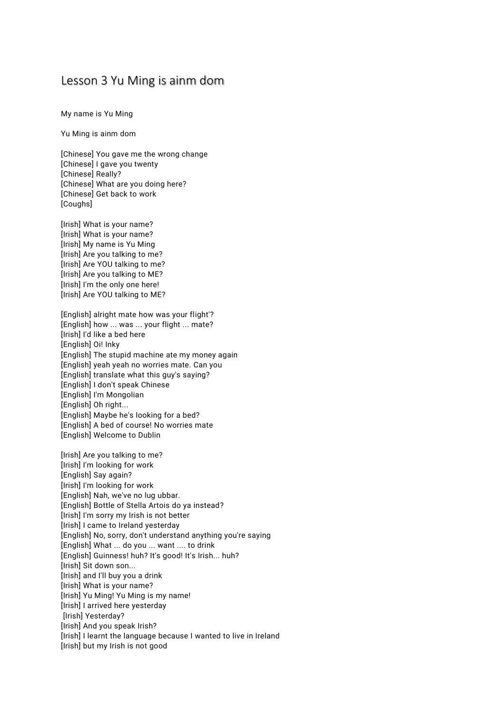## Lesson 3 Yu Ming is ainm dom

My name is Yu Ming

Yu Ming is ainm dom

[Chinese] You gave me the wrong change [Chinese] I gave you twenty [Chinese] Really? [Chinese] What are you doing here? [Chinese] Get back to work [Coughs]

[Irish] What is your name? [Irish] What is your name? [Irish] My name is Yu Ming [Irish] Are you talking to me? [Irish] Are YOU talking to me? [Irish] Are you talking to ME? [Irish] I'm the only one here! [Irish] Are YOU talking to ME?

[English] alright mate how was your flight'? [English] how ... was ... your flight ... mate? [Irish] I'd like a bed here [English] Oi! Inky [English] The stupid machine ate my money again [English] yeah yeah no worries mate. Can you [English] translate what this guy's saying? [English] I don't speak Chinese [English] I'm Mongolian [English] Oh right... [English] Maybe he's looking for a bed? [English] A bed of course! No worries mate [English] Welcome to Dublin

[Irish] Are you talking to me? [Irish] I'm looking for work [English] Say again? [Irish] I'm looking for work [English] Nah, we've no lug ubbar. [English] Bottle of Stella Artois do ya instead? [Irish] I'm sorry my Irish is not better [Irish] I came to Ireland yesterday [English] No, sorry, don't understand anything you're saying [English] What ... do you ... want .... to drink [English] Guinness! huh? It's good! It's Irish... huh? [Irish] Sit down son... [Irish] and I'll buy you a drink [Irish] What is your name? [Irish] Yu Ming! Yu Ming is my name! [Irish] I arrived here yesterday [Irish] Yesterday? [Irish] And you speak Irish? [Irish] I learnt the language because I wanted to live in Ireland [Irish] but my Irish is not good